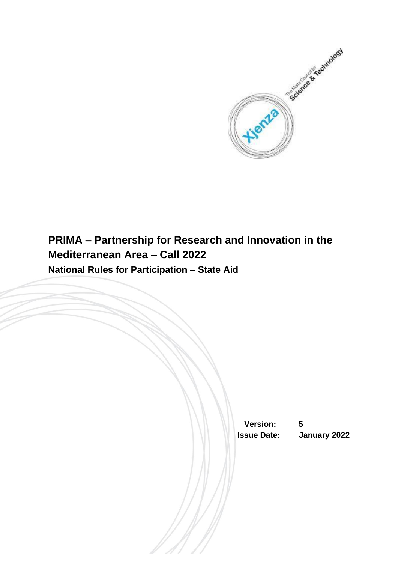

# **PRIMA – Partnership for Research and Innovation in the Mediterranean Area – Call 2022**

**National Rules for Participation – State Aid**

 **Version: 5 Issue Date: January 2022**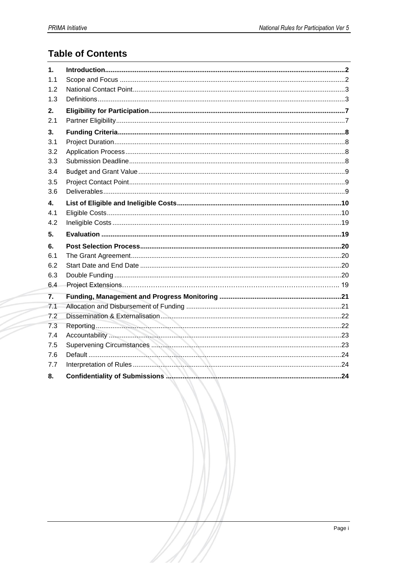# **Table of Contents**

| $\mathbf 1$ . |  |
|---------------|--|
| 1.1           |  |
| 1.2           |  |
| 1.3           |  |
| 2.            |  |
| 2.1           |  |
| 3.            |  |
| 3.1           |  |
| 3.2           |  |
| 3.3           |  |
| 3.4           |  |
| 3.5           |  |
| 3.6           |  |
| 4.            |  |
| 4.1           |  |
|               |  |
| 4.2           |  |
| 5.            |  |
| 6.            |  |
| 6.1           |  |
| 6.2           |  |
| 6.3           |  |
| 6.4           |  |
| 7.            |  |
| 7.1           |  |
| 7.2           |  |
| 7.3           |  |
| 7.4           |  |
| 7.5           |  |
| 7.6           |  |
| 7.7           |  |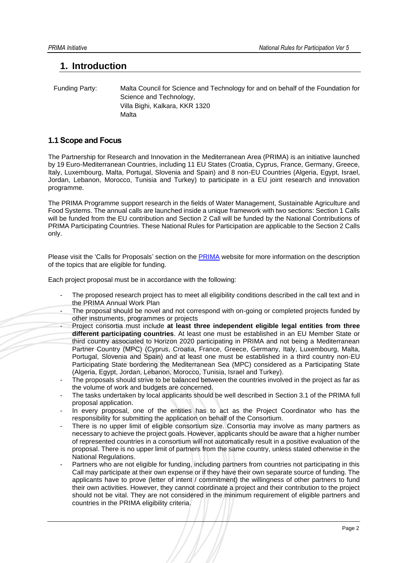# <span id="page-2-0"></span>**1. Introduction**

 Funding Party: Malta Council for Science and Technology for and on behalf of the Foundation for Science and Technology, Villa Bighi, Kalkara, KKR 1320 Malta

# <span id="page-2-1"></span>**1.1 Scope and Focus**

The Partnership for Research and Innovation in the Mediterranean Area (PRIMA) is an initiative launched by 19 Euro-Mediterranean Countries, including 11 EU States (Croatia, Cyprus, France, Germany, Greece, Italy, Luxembourg, Malta, Portugal, Slovenia and Spain) and 8 non-EU Countries (Algeria, Egypt, Israel, Jordan, Lebanon, Morocco, Tunisia and Turkey) to participate in a EU joint research and innovation programme.

The PRIMA Programme support research in the fields of Water Management, Sustainable Agriculture and Food Systems. The annual calls are launched inside a unique framework with two sections: Section 1 Calls will be funded from the EU contribution and Section 2 Call will be funded by the National Contributions of PRIMA Participating Countries. These National Rules for Participation are applicable to the Section 2 Calls only.

Please visit the 'Calls for Proposals' section on the [PRIMA](https://prima-med.org/) website for more information on the description of the topics that are eligible for funding.

Each project proposal must be in accordance with the following:

- The proposed research project has to meet all eligibility conditions described in the call text and in the PRIMA Annual Work Plan
- The proposal should be novel and not correspond with on-going or completed projects funded by other instruments, programmes or projects
- Project consortia must include **at least three independent eligible legal entities from three different participating countries**. At least one must be established in an EU Member State or third country associated to Horizon 2020 participating in PRIMA and not being a Mediterranean Partner Country (MPC) (Cyprus, Croatia, France, Greece, Germany, Italy, Luxembourg, Malta, Portugal, Slovenia and Spain) and at least one must be established in a third country non-EU Participating State bordering the Mediterranean Sea (MPC) considered as a Participating State (Algeria, Egypt, Jordan, Lebanon, Morocco, Tunisia, Israel and Turkey).
- The proposals should strive to be balanced between the countries involved in the project as far as the volume of work and budgets are concerned.
- The tasks undertaken by local applicants should be well described in Section 3.1 of the PRIMA full proposal application.
- In every proposal, one of the entities has to act as the Project Coordinator who has the responsibility for submitting the application on behalf of the Consortium.
- There is no upper limit of eligible consortium size. Consortia may involve as many partners as necessary to achieve the project goals. However, applicants should be aware that a higher number of represented countries in a consortium will not automatically result in a positive evaluation of the proposal. There is no upper limit of partners from the same country, unless stated otherwise in the National Regulations.
- Partners who are not eligible for funding, including partners from countries not participating in this Call may participate at their own expense or if they have their own separate source of funding. The applicants have to prove (letter of intent / commitment) the willingness of other partners to fund their own activities. However, they cannot coordinate a project and their contribution to the project should not be vital. They are not considered in the minimum requirement of eligible partners and countries in the PRIMA eligibility criteria.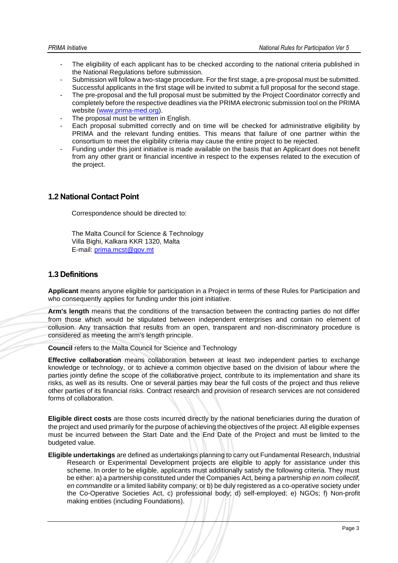- The eligibility of each applicant has to be checked according to the national criteria published in the National Regulations before submission.
- Submission will follow a two-stage procedure. For the first stage, a pre-proposal must be submitted. Successful applicants in the first stage will be invited to submit a full proposal for the second stage.
- The pre-proposal and the full proposal must be submitted by the Project Coordinator correctly and completely before the respective deadlines via the PRIMA electronic submission tool on the PRIMA website [\(www.prima-med.org\)](http://www.prima-med.org/).
- The proposal must be written in English.
- Each proposal submitted correctly and on time will be checked for administrative eligibility by PRIMA and the relevant funding entities. This means that failure of one partner within the consortium to meet the eligibility criteria may cause the entire project to be rejected.
- Funding under this joint initiative is made available on the basis that an Applicant does not benefit from any other grant or financial incentive in respect to the expenses related to the execution of the project.

### <span id="page-3-0"></span>**1.2 National Contact Point**

Correspondence should be directed to:

The Malta Council for Science & Technology Villa Bighi, Kalkara KKR 1320, Malta E-mail: [prima.mcst@gov.mt](mailto:prima.mcst@gov.mt)

# <span id="page-3-1"></span>**1.3 Definitions**

**Applicant** means anyone eligible for participation in a Project in terms of these Rules for Participation and who consequently applies for funding under this joint initiative.

**Arm's length** means that the conditions of the transaction between the contracting parties do not differ from those which would be stipulated between independent enterprises and contain no element of collusion. Any transaction that results from an open, transparent and non-discriminatory procedure is considered as meeting the arm's length principle.

**Council** refers to the Malta Council for Science and Technology

**Effective collaboration** means collaboration between at least two independent parties to exchange knowledge or technology, or to achieve a common objective based on the division of labour where the parties jointly define the scope of the collaborative project, contribute to its implementation and share its risks, as well as its results. One or several parties may bear the full costs of the project and thus relieve other parties of its financial risks. Contract research and provision of research services are not considered forms of collaboration.

**Eligible direct costs** are those costs incurred directly by the national beneficiaries during the duration of the project and used primarily for the purpose of achieving the objectives of the project. All eligible expenses must be incurred between the Start Date and the End Date of the Project and must be limited to the budgeted value.

**Eligible undertakings** are defined as undertakings planning to carry out Fundamental Research, Industrial Research or Experimental Development projects are eligible to apply for assistance under this scheme. In order to be eligible, applicants must additionally satisfy the following criteria. They must be either: a) a partnership constituted under the Companies Act, being a partnership *en nom collectif, en commandite* or a limited liability company; or b) be duly registered as a co-operative society under the Co-Operative Societies Act, c) professional body; d) self-employed; e) NGOs; f) Non-profit making entities (including Foundations).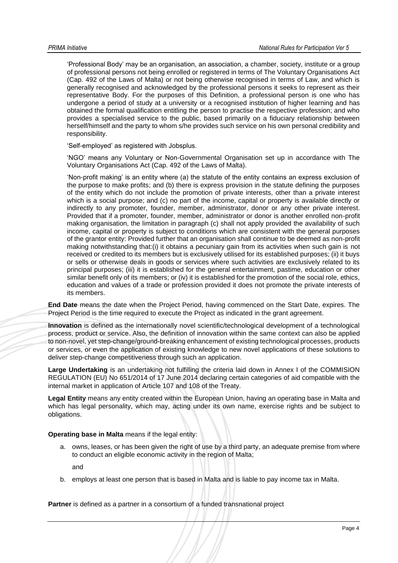'Professional Body' may be an organisation, an association, a chamber, society, institute or a group of professional persons not being enrolled or registered in terms of The Voluntary Organisations Act (Cap. 492 of the Laws of Malta) or not being otherwise recognised in terms of Law, and which is generally recognised and acknowledged by the professional persons it seeks to represent as their representative Body. For the purposes of this Definition, a professional person is one who has undergone a period of study at a university or a recognised institution of higher learning and has obtained the formal qualification entitling the person to practise the respective profession; and who provides a specialised service to the public, based primarily on a fiduciary relationship between herself/himself and the party to whom s/he provides such service on his own personal credibility and responsibility.

'Self-employed' as registered with Jobsplus.

'NGO' means any Voluntary or Non-Governmental Organisation set up in accordance with The Voluntary Organisations Act (Cap. 492 of the Laws of Malta).

'Non-profit making' is an entity where (a) the statute of the entity contains an express exclusion of the purpose to make profits; and (b) there is express provision in the statute defining the purposes of the entity which do not include the promotion of private interests, other than a private interest which is a social purpose; and (c) no part of the income, capital or property is available directly or indirectly to any promoter, founder, member, administrator, donor or any other private interest. Provided that if a promoter, founder, member, administrator or donor is another enrolled non-profit making organisation, the limitation in paragraph (c) shall not apply provided the availability of such income, capital or property is subject to conditions which are consistent with the general purposes of the grantor entity: Provided further that an organisation shall continue to be deemed as non-profit making notwithstanding that:(i) it obtains a pecuniary gain from its activities when such gain is not received or credited to its members but is exclusively utilised for its established purposes; (ii) it buys or sells or otherwise deals in goods or services where such activities are exclusively related to its principal purposes; (iii) it is established for the general entertainment, pastime, education or other similar benefit only of its members; or (iv) it is established for the promotion of the social role, ethics, education and values of a trade or profession provided it does not promote the private interests of its members.

**End Date** means the date when the Project Period, having commenced on the Start Date, expires. The Project Period is the time required to execute the Project as indicated in the grant agreement.

**Innovation** is defined as the internationally novel scientific/technological development of a technological process, product or service. Also, the definition of innovation within the same context can also be applied to non-novel, yet step-change/ground-breaking enhancement of existing technological processes, products or services, or even the application of existing knowledge to new novel applications of these solutions to deliver step-change competitiveness through such an application.

**Large Undertaking** is an undertaking not fulfilling the criteria laid down in Annex I of the COMMISION REGULATION (EU) No 651/2014 of 17 June 2014 declaring certain categories of aid compatible with the internal market in application of Article 107 and 108 of the Treaty.

**Legal Entity** means any entity created within the European Union, having an operating base in Malta and which has legal personality, which may, acting under its own name, exercise rights and be subject to obligations.

**Operating base in Malta** means if the legal entity:

a. owns, leases, or has been given the right of use by a third party, an adequate premise from where to conduct an eligible economic activity in the region of Malta;

and

b. employs at least one person that is based in Malta and is liable to pay income tax in Malta.

**Partner** is defined as a partner in a consortium of a funded transnational project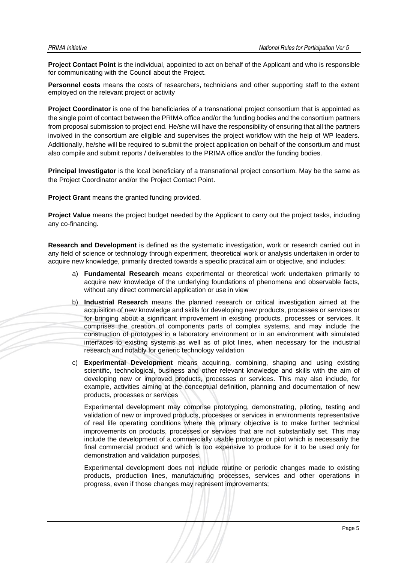**Project Contact Point** is the individual, appointed to act on behalf of the Applicant and who is responsible for communicating with the Council about the Project.

**Personnel costs** means the costs of researchers, technicians and other supporting staff to the extent employed on the relevant project or activity

**Project Coordinator** is one of the beneficiaries of a transnational project consortium that is appointed as the single point of contact between the PRIMA office and/or the funding bodies and the consortium partners from proposal submission to project end. He/she will have the responsibility of ensuring that all the partners involved in the consortium are eligible and supervises the project workflow with the help of WP leaders. Additionally, he/she will be required to submit the project application on behalf of the consortium and must also compile and submit reports / deliverables to the PRIMA office and/or the funding bodies.

**Principal Investigator** is the local beneficiary of a transnational project consortium. May be the same as the Project Coordinator and/or the Project Contact Point.

**Project Grant** means the granted funding provided.

**Project Value** means the project budget needed by the Applicant to carry out the project tasks, including any co-financing.

**Research and Development** is defined as the systematic investigation, work or research carried out in any field of science or technology through experiment, theoretical work or analysis undertaken in order to acquire new knowledge, primarily directed towards a specific practical aim or objective, and includes:

- a) **Fundamental Research** means experimental or theoretical work undertaken primarily to acquire new knowledge of the underlying foundations of phenomena and observable facts, without any direct commercial application or use in view
- b) **Industrial Research** means the planned research or critical investigation aimed at the acquisition of new knowledge and skills for developing new products, processes or services or for bringing about a significant improvement in existing products, processes or services. It comprises the creation of components parts of complex systems, and may include the construction of prototypes in a laboratory environment or in an environment with simulated interfaces to existing systems as well as of pilot lines, when necessary for the industrial research and notably for generic technology validation
- c) **Experimental Development** means acquiring, combining, shaping and using existing scientific, technological, business and other relevant knowledge and skills with the aim of developing new or improved products, processes or services. This may also include, for example, activities aiming at the conceptual definition, planning and documentation of new products, processes or services

Experimental development may comprise prototyping, demonstrating, piloting, testing and validation of new or improved products, processes or services in environments representative of real life operating conditions where the primary objective is to make further technical improvements on products, processes or services that are not substantially set. This may include the development of a commercially usable prototype or pilot which is necessarily the final commercial product and which is too expensive to produce for it to be used only for demonstration and validation purposes.

Experimental development does not include routine or periodic changes made to existing products, production lines, manufacturing processes, services and other operations in progress, even if those changes may represent improvements;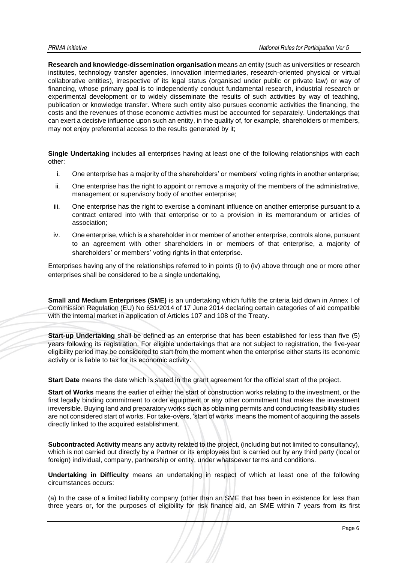**Research and knowledge-dissemination organisation** means an entity (such as universities or research institutes, technology transfer agencies, innovation intermediaries, research-oriented physical or virtual collaborative entities), irrespective of its legal status (organised under public or private law) or way of financing, whose primary goal is to independently conduct fundamental research, industrial research or experimental development or to widely disseminate the results of such activities by way of teaching, publication or knowledge transfer. Where such entity also pursues economic activities the financing, the costs and the revenues of those economic activities must be accounted for separately. Undertakings that can exert a decisive influence upon such an entity, in the quality of, for example, shareholders or members, may not enjoy preferential access to the results generated by it;

**Single Undertaking** includes all enterprises having at least one of the following relationships with each other:

- i. One enterprise has a majority of the shareholders' or members' voting rights in another enterprise;
- ii. One enterprise has the right to appoint or remove a majority of the members of the administrative, management or supervisory body of another enterprise;
- iii. One enterprise has the right to exercise a dominant influence on another enterprise pursuant to a contract entered into with that enterprise or to a provision in its memorandum or articles of association;
- iv. One enterprise, which is a shareholder in or member of another enterprise, controls alone, pursuant to an agreement with other shareholders in or members of that enterprise, a majority of shareholders' or members' voting rights in that enterprise.

Enterprises having any of the relationships referred to in points (i) to (iv) above through one or more other enterprises shall be considered to be a single undertaking,

**Small and Medium Enterprises (SME)** is an undertaking which fulfils the criteria laid down in Annex I of Commission Regulation (EU) No 651/2014 of 17 June 2014 declaring certain categories of aid compatible with the internal market in application of Articles 107 and 108 of the Treaty.

**Start-up Undertaking** shall be defined as an enterprise that has been established for less than five (5) years following its registration. For eligible undertakings that are not subject to registration, the five-year eligibility period may be considered to start from the moment when the enterprise either starts its economic activity or is liable to tax for its economic activity.

**Start Date** means the date which is stated in the grant agreement for the official start of the project.

**Start of Works** means the earlier of either the start of construction works relating to the investment, or the first legally binding commitment to order equipment or any other commitment that makes the investment irreversible. Buying land and preparatory works such as obtaining permits and conducting feasibility studies are not considered start of works. For take-overs, 'start of works' means the moment of acquiring the assets directly linked to the acquired establishment.

**Subcontracted Activity** means any activity related to the project, (including but not limited to consultancy), which is not carried out directly by a Partner or its employees but is carried out by any third party (local or foreign) individual, company, partnership or entity, under whatsoever terms and conditions.

**Undertaking in Difficulty** means an undertaking in respect of which at least one of the following circumstances occurs:

(a) In the case of a limited liability company (other than an SME that has been in existence for less than three years or, for the purposes of eligibility for risk finance aid, an SME within 7 years from its first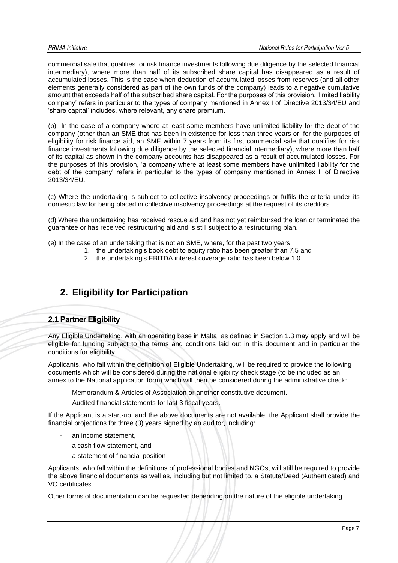commercial sale that qualifies for risk finance investments following due diligence by the selected financial intermediary), where more than half of its subscribed share capital has disappeared as a result of accumulated losses. This is the case when deduction of accumulated losses from reserves (and all other elements generally considered as part of the own funds of the company) leads to a negative cumulative amount that exceeds half of the subscribed share capital. For the purposes of this provision, 'limited liability company' refers in particular to the types of company mentioned in Annex I of Directive 2013/34/EU and 'share capital' includes, where relevant, any share premium.

(b) In the case of a company where at least some members have unlimited liability for the debt of the company (other than an SME that has been in existence for less than three years or, for the purposes of eligibility for risk finance aid, an SME within 7 years from its first commercial sale that qualifies for risk finance investments following due diligence by the selected financial intermediary), where more than half of its capital as shown in the company accounts has disappeared as a result of accumulated losses. For the purposes of this provision, 'a company where at least some members have unlimited liability for the debt of the company' refers in particular to the types of company mentioned in Annex II of Directive 2013/34/EU.

(c) Where the undertaking is subject to collective insolvency proceedings or fulfils the criteria under its domestic law for being placed in collective insolvency proceedings at the request of its creditors.

(d) Where the undertaking has received rescue aid and has not yet reimbursed the loan or terminated the guarantee or has received restructuring aid and is still subject to a restructuring plan.

(e) In the case of an undertaking that is not an SME, where, for the past two years:

- 1. the undertaking's book debt to equity ratio has been greater than 7.5 and
- 2. the undertaking's EBITDA interest coverage ratio has been below 1.0.

# <span id="page-7-0"></span>**2. Eligibility for Participation**

# <span id="page-7-1"></span>**2.1 Partner Eligibility**

Any Eligible Undertaking, with an operating base in Malta, as defined in Section 1.3 may apply and will be eligible for funding subject to the terms and conditions laid out in this document and in particular the conditions for eligibility.

Applicants, who fall within the definition of Eligible Undertaking, will be required to provide the following documents which will be considered during the national eligibility check stage (to be included as an annex to the National application form) which will then be considered during the administrative check:

- Memorandum & Articles of Association or another constitutive document.
- Audited financial statements for last 3 fiscal years.

If the Applicant is a start-up, and the above documents are not available, the Applicant shall provide the financial projections for three (3) years signed by an auditor, including:

- an income statement,
- a cash flow statement, and
- a statement of financial position

Applicants, who fall within the definitions of professional bodies and NGOs, will still be required to provide the above financial documents as well as, including but not limited to, a Statute/Deed (Authenticated) and VO certificates.

Other forms of documentation can be requested depending on the nature of the eligible undertaking.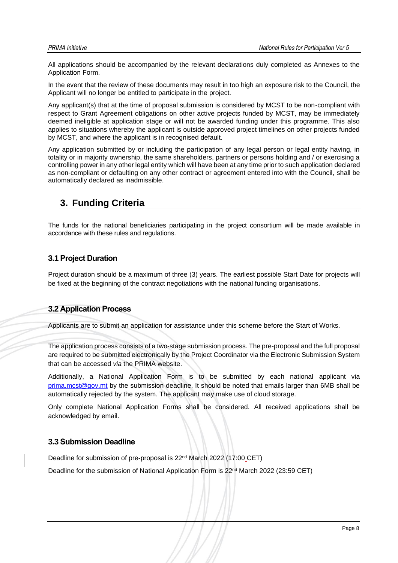All applications should be accompanied by the relevant declarations duly completed as Annexes to the Application Form.

In the event that the review of these documents may result in too high an exposure risk to the Council, the Applicant will no longer be entitled to participate in the project.

Any applicant(s) that at the time of proposal submission is considered by MCST to be non-compliant with respect to Grant Agreement obligations on other active projects funded by MCST, may be immediately deemed ineligible at application stage or will not be awarded funding under this programme. This also applies to situations whereby the applicant is outside approved project timelines on other projects funded by MCST, and where the applicant is in recognised default.

Any application submitted by or including the participation of any legal person or legal entity having, in totality or in majority ownership, the same shareholders, partners or persons holding and / or exercising a controlling power in any other legal entity which will have been at any time prior to such application declared as non-compliant or defaulting on any other contract or agreement entered into with the Council, shall be automatically declared as inadmissible.

# <span id="page-8-0"></span>**3. Funding Criteria**

The funds for the national beneficiaries participating in the project consortium will be made available in accordance with these rules and regulations.

# <span id="page-8-1"></span>**3.1 Project Duration**

Project duration should be a maximum of three (3) years. The earliest possible Start Date for projects will be fixed at the beginning of the contract negotiations with the national funding organisations.

# <span id="page-8-2"></span>**3.2 Application Process**

Applicants are to submit an application for assistance under this scheme before the Start of Works.

The application process consists of a two-stage submission process. The pre-proposal and the full proposal are required to be submitted electronically by the Project Coordinator via the Electronic Submission System that can be accessed *via* the PRIMA website.

Additionally, a National Application Form is to be submitted by each national applicant via [prima.mcst@gov.mt](mailto:prima.mcst@gov.mt) by the submission deadline. It should be noted that emails larger than 6MB shall be automatically rejected by the system. The applicant may make use of cloud storage.

Only complete National Application Forms shall be considered. All received applications shall be acknowledged by email.

# <span id="page-8-3"></span>**3.3 Submission Deadline**

Deadline for submission of pre-proposal is 22<sup>nd</sup> March 2022 (17:00<sub>\_</sub>CET)

Deadline for the submission of National Application Form is 22<sup>nd</sup> March 2022 (23:59 CET)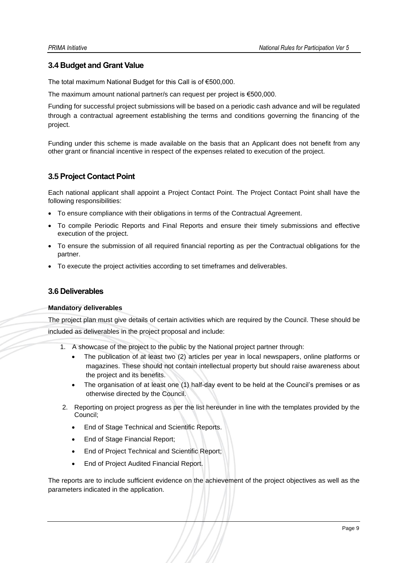# <span id="page-9-0"></span>**3.4 Budget and Grant Value**

The total maximum National Budget for this Call is of €500,000.

The maximum amount national partner/s can request per project is €500,000.

Funding for successful project submissions will be based on a periodic cash advance and will be regulated through a contractual agreement establishing the terms and conditions governing the financing of the project.

Funding under this scheme is made available on the basis that an Applicant does not benefit from any other grant or financial incentive in respect of the expenses related to execution of the project.

# <span id="page-9-1"></span>**3.5 Project Contact Point**

Each national applicant shall appoint a Project Contact Point. The Project Contact Point shall have the following responsibilities:

- To ensure compliance with their obligations in terms of the Contractual Agreement.
- To compile Periodic Reports and Final Reports and ensure their timely submissions and effective execution of the project.
- To ensure the submission of all required financial reporting as per the Contractual obligations for the partner.
- To execute the project activities according to set timeframes and deliverables.

# <span id="page-9-2"></span>**3.6 Deliverables**

#### **Mandatory deliverables**

The project plan must give details of certain activities which are required by the Council. These should be included as deliverables in the project proposal and include:

- 1. A showcase of the project to the public by the National project partner through:
	- The publication of at least two (2) articles per year in local newspapers, online platforms or magazines. These should not contain intellectual property but should raise awareness about the project and its benefits.
	- The organisation of at least one (1) half-day event to be held at the Council's premises or as otherwise directed by the Council.
- 2. Reporting on project progress as per the list hereunder in line with the templates provided by the Council;
	- End of Stage Technical and Scientific Reports.
	- End of Stage Financial Report;
	- End of Project Technical and Scientific Report;
	- End of Project Audited Financial Report.

The reports are to include sufficient evidence on the achievement of the project objectives as well as the parameters indicated in the application.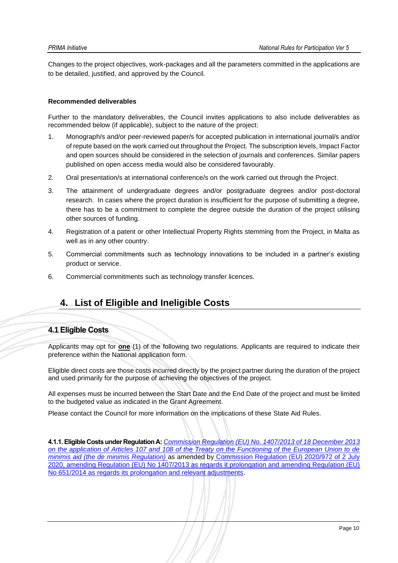Changes to the project objectives, work-packages and all the parameters committed in the applications are to be detailed, justified, and approved by the Council.

#### **Recommended deliverables**

Further to the mandatory deliverables, the Council invites applications to also include deliverables as recommended below (if applicable), subject to the nature of the project:

- 1. Monograph/s and/or peer-reviewed paper/s for accepted publication in international journal/s and/or of repute based on the work carried out throughout the Project. The subscription levels, Impact Factor and open sources should be considered in the selection of journals and conferences. Similar papers published on open access media would also be considered favourably.
- 2. Oral presentation/s at international conference/s on the work carried out through the Project.
- 3. The attainment of undergraduate degrees and/or postgraduate degrees and/or post-doctoral research. In cases where the project duration is insufficient for the purpose of submitting a degree, there has to be a commitment to complete the degree outside the duration of the project utilising other sources of funding.
- 4. Registration of a patent or other Intellectual Property Rights stemming from the Project, in Malta as well as in any other country.
- 5. Commercial commitments such as technology innovations to be included in a partner's existing product or service.
- 6. Commercial commitments such as technology transfer licences.

# <span id="page-10-0"></span>**4. List of Eligible and Ineligible Costs**

# <span id="page-10-1"></span>**4.1 Eligible Costs**

Applicants may opt for **one** (1) of the following two regulations. Applicants are required to indicate their preference within the National application form.

Eligible direct costs are those costs incurred directly by the project partner during the duration of the project and used primarily for the purpose of achieving the objectives of the project.

All expenses must be incurred between the Start Date and the End Date of the project and must be limited to the budgeted value as indicated in the Grant Agreement.

Please contact the Council for more information on the implications of these State Aid Rules.

**4.1.1. Eligible Costs under RegulationA:** *[Commission Regulation \(EU\) No. 1407/2013 of 18 December 2013](http://ec.europa.eu/competition/state_aid/legislation/de_minimis_regulation_en.pdf)  [on the application of Articles 107 and 108 of the Treaty on the Functioning of the European Union to de](http://ec.europa.eu/competition/state_aid/legislation/de_minimis_regulation_en.pdf)  [minimis aid \(the de minimis Regulation\)](http://ec.europa.eu/competition/state_aid/legislation/de_minimis_regulation_en.pdf)* as amended by [Commission Regulation \(EU\) 2020/972 of 2 July](https://eur-lex.europa.eu/legal-content/EN/TXT/PDF/?uri=CELEX:32020R0972&from=EN)  [2020, amending Regulation \(EU\) No 1407/2013 as regards it prolongation and amending Regulation \(EU\)](https://eur-lex.europa.eu/legal-content/EN/TXT/PDF/?uri=CELEX:32020R0972&from=EN)  [No 651/2014 as regards its prolongation and relevant adjustments.](https://eur-lex.europa.eu/legal-content/EN/TXT/PDF/?uri=CELEX:32020R0972&from=EN)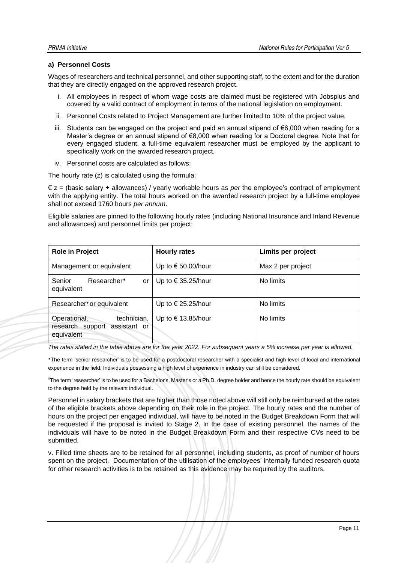#### **a) Personnel Costs**

Wages of researchers and technical personnel, and other supporting staff, to the extent and for the duration that they are directly engaged on the approved research project.

- i. All employees in respect of whom wage costs are claimed must be registered with Jobsplus and covered by a valid contract of employment in terms of the national legislation on employment.
- ii. Personnel Costs related to Project Management are further limited to 10% of the project value.
- iii. Students can be engaged on the project and paid an annual stipend of €6,000 when reading for a Master's degree or an annual stipend of €8,000 when reading for a Doctoral degree. Note that for every engaged student, a full-time equivalent researcher must be employed by the applicant to specifically work on the awarded research project.
- iv. Personnel costs are calculated as follows:

The hourly rate (z) is calculated using the formula:

€ z = (basic salary + allowances) / yearly workable hours as *per* the employee's contract of employment with the applying entity. The total hours worked on the awarded research project by a full-time employee shall not exceed 1760 hours *per annum*.

Eligible salaries are pinned to the following hourly rates (including National Insurance and Inland Revenue and allowances) and personnel limits per project:

| <b>Role in Project</b>                                                        | <b>Hourly rates</b>         | Limits per project |
|-------------------------------------------------------------------------------|-----------------------------|--------------------|
| Management or equivalent                                                      | Up to $\epsilon$ 50.00/hour | Max 2 per project  |
| Researcher*<br>Senior<br>or<br>equivalent                                     | Up to $\in$ 35.25/hour      | No limits          |
| Researcher <sup>¥</sup> or equivalent                                         | Up to $\in$ 25.25/hour      | No limits          |
| technician,<br>Operational,<br>assistant or<br>research support<br>equivalent | Up to $\in$ 13.85/hour      | No limits          |

*The rates stated in the table above are for the year 2022. For subsequent years a 5% increase per year is allowed.* 

\*The term 'senior researcher' is to be used for a postdoctoral researcher with a specialist and high level of local and international experience in the field. Individuals possessing a high level of experience in industry can still be considered.

¥The term 'researcher' is to be used for a Bachelor's, Master's or a Ph.D. degree holder and hence the hourly rate should be equivalent to the degree held by the relevant individual.

Personnel in salary brackets that are higher than those noted above will still only be reimbursed at the rates of the eligible brackets above depending on their role in the project. The hourly rates and the number of hours on the project per engaged individual, will have to be noted in the Budget Breakdown Form that will be requested if the proposal is invited to Stage 2. In the case of existing personnel, the names of the individuals will have to be noted in the Budget Breakdown Form and their respective CVs need to be submitted.

v. Filled time sheets are to be retained for all personnel, including students, as proof of number of hours spent on the project. Documentation of the utilisation of the employees' internally funded research quota for other research activities is to be retained as this evidence may be required by the auditors.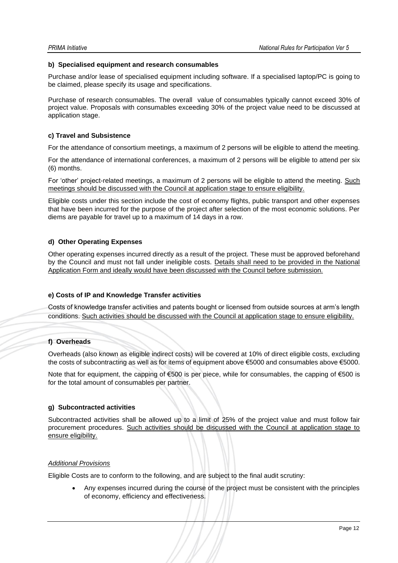#### **b) Specialised equipment and research consumables**

Purchase and/or lease of specialised equipment including software. If a specialised laptop/PC is going to be claimed, please specify its usage and specifications.

Purchase of research consumables. The overall value of consumables typically cannot exceed 30% of project value. Proposals with consumables exceeding 30% of the project value need to be discussed at application stage.

#### **c) Travel and Subsistence**

For the attendance of consortium meetings, a maximum of 2 persons will be eligible to attend the meeting.

For the attendance of international conferences, a maximum of 2 persons will be eligible to attend per six (6) months.

For 'other' project-related meetings, a maximum of 2 persons will be eligible to attend the meeting. Such meetings should be discussed with the Council at application stage to ensure eligibility.

Eligible costs under this section include the cost of economy flights, public transport and other expenses that have been incurred for the purpose of the project after selection of the most economic solutions. Per diems are payable for travel up to a maximum of 14 days in a row.

#### **d) Other Operating Expenses**

Other operating expenses incurred directly as a result of the project. These must be approved beforehand by the Council and must not fall under ineligible costs. Details shall need to be provided in the National Application Form and ideally would have been discussed with the Council before submission.

#### **e) Costs of IP and Knowledge Transfer activities**

Costs of knowledge transfer activities and patents bought or licensed from outside sources at arm's length conditions. Such activities should be discussed with the Council at application stage to ensure eligibility.

#### **f) Overheads**

Overheads (also known as eligible indirect costs) will be covered at 10% of direct eligible costs, excluding the costs of subcontracting as well as for items of equipment above €5000 and consumables above €5000.

Note that for equipment, the capping of €500 is per piece, while for consumables, the capping of €500 is for the total amount of consumables per partner.

#### **g) Subcontracted activities**

Subcontracted activities shall be allowed up to a limit of 25% of the project value and must follow fair procurement procedures. Such activities should be discussed with the Council at application stage to ensure eligibility.

#### *Additional Provisions*

Eligible Costs are to conform to the following, and are subject to the final audit scrutiny:

• Any expenses incurred during the course of the project must be consistent with the principles of economy, efficiency and effectiveness.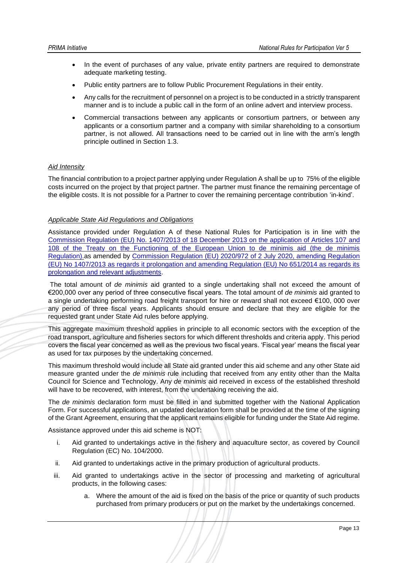- In the event of purchases of any value, private entity partners are required to demonstrate adequate marketing testing.
- Public entity partners are to follow Public Procurement Regulations in their entity.
- Any calls for the recruitment of personnel on a project is to be conducted in a strictly transparent manner and is to include a public call in the form of an online advert and interview process.
- Commercial transactions between any applicants or consortium partners, or between any applicants or a consortium partner and a company with similar shareholding to a consortium partner, is not allowed. All transactions need to be carried out in line with the arm's length principle outlined in Section 1.3.

#### *Aid Intensity*

The financial contribution to a project partner applying under Regulation A shall be up to 75% of the eligible costs incurred on the project by that project partner. The partner must finance the remaining percentage of the eligible costs. It is not possible for a Partner to cover the remaining percentage contribution 'in-kind'.

#### *Applicable State Aid Regulations and Obligations*

Assistance provided under Regulation A of these National Rules for Participation is in line with the [Commission Regulation \(EU\) No. 1407/2013 of 18 December 2013 on the application of Articles 107](http://ec.europa.eu/competition/state_aid/legislation/de_minimis_regulation_en.pdf) and [108 of the Treaty on the Functioning of the European Union to de minimis aid \(the de minimis](http://ec.europa.eu/competition/state_aid/legislation/de_minimis_regulation_en.pdf)  [Regulation\).a](http://ec.europa.eu/competition/state_aid/legislation/de_minimis_regulation_en.pdf)s amended by [Commission Regulation \(EU\) 2020/972](https://eur-lex.europa.eu/legal-content/EN/TXT/PDF/?uri=CELEX:32020R0972&from=EN) of 2 July 2020, amending Regulation [\(EU\) No 1407/2013 as regards it prolongation and amending Regulation \(EU\) No 651/2014 as regards its](https://eur-lex.europa.eu/legal-content/EN/TXT/PDF/?uri=CELEX:32020R0972&from=EN)  [prolongation and relevant adjustments.](https://eur-lex.europa.eu/legal-content/EN/TXT/PDF/?uri=CELEX:32020R0972&from=EN)

The total amount of *de minimis* aid granted to a single undertaking shall not exceed the amount of €200,000 over any period of three consecutive fiscal years. The total amount of *de minimis* aid granted to a single undertaking performing road freight transport for hire or reward shall not exceed €100, 000 over any period of three fiscal years. Applicants should ensure and declare that they are eligible for the requested grant under State Aid rules before applying.

This aggregate maximum threshold applies in principle to all economic sectors with the exception of the road transport, agriculture and fisheries sectors for which different thresholds and criteria apply. This period covers the fiscal year concerned as well as the previous two fiscal years. 'Fiscal year' means the fiscal year as used for tax purposes by the undertaking concerned.

This maximum threshold would include all State aid granted under this aid scheme and any other State aid measure granted under the *de minimis* rule including that received from any entity other than the Malta Council for Science and Technology. Any *de minimis* aid received in excess of the established threshold will have to be recovered, with interest, from the undertaking receiving the aid.

The *de minimis* declaration form must be filled in and submitted together with the National Application Form. For successful applications, an updated declaration form shall be provided at the time of the signing of the Grant Agreement, ensuring that the applicant remains eligible for funding under the State Aid regime.

Assistance approved under this aid scheme is NOT:

- i. Aid granted to undertakings active in the fishery and aquaculture sector, as covered by Council Regulation (EC) No. 104/2000.
- ii. Aid granted to undertakings active in the primary production of agricultural products.
- iii. Aid granted to undertakings active in the sector of processing and marketing of agricultural products, in the following cases:
	- a. Where the amount of the aid is fixed on the basis of the price or quantity of such products purchased from primary producers or put on the market by the undertakings concerned.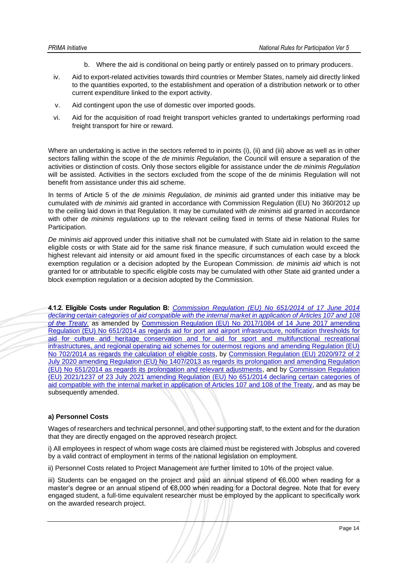- b. Where the aid is conditional on being partly or entirely passed on to primary producers.
- iv. Aid to export-related activities towards third countries or Member States, namely aid directly linked to the quantities exported, to the establishment and operation of a distribution network or to other current expenditure linked to the export activity.
- v. Aid contingent upon the use of domestic over imported goods.
- vi. Aid for the acquisition of road freight transport vehicles granted to undertakings performing road freight transport for hire or reward.

Where an undertaking is active in the sectors referred to in points (i), (ii) and (iii) above as well as in other sectors falling within the scope of the *de minimis Regulation*, the Council will ensure a separation of the activities or distinction of costs. Only those sectors eligible for assistance under the *de minimis Regulation* will be assisted. Activities in the sectors excluded from the scope of the de minimis Regulation will not benefit from assistance under this aid scheme.

In terms of Article 5 of the *de minimis Regulation*, *de minimis* aid granted under this initiative may be cumulated with *de minimis* aid granted in accordance with Commission Regulation (EU) No 360/2012 up to the ceiling laid down in that Regulation. It may be cumulated with *de minimis* aid granted in accordance with other de *minimis regulations* up to the relevant ceiling fixed in terms of these National Rules for Participation.

*De minimis aid* approved under this initiative shall not be cumulated with State aid in relation to the same eligible costs or with State aid for the same risk finance measure, if such cumulation would exceed the highest relevant aid intensity or aid amount fixed in the specific circumstances of each case by a block exemption regulation or a decision adopted by the European Commission. *de minimis aid* which is not granted for or attributable to specific eligible costs may be cumulated with other State aid granted under a block exemption regulation or a decision adopted by the Commission.

**4.1.2. Eligible Costs under Regulation B:** *[Commission Regulation \(EU\) No 651/2014 of 17 June 2014](https://eur-lex.europa.eu/legal-content/EN/TXT/PDF/?uri=CELEX:32014R0651&from=EN)  [declaring certain categories of aid compatible with the internal market in application of Articles 107 and 108](https://eur-lex.europa.eu/legal-content/EN/TXT/PDF/?uri=CELEX:32014R0651&from=EN)  [of the Treaty.](https://eur-lex.europa.eu/legal-content/EN/TXT/PDF/?uri=CELEX:32014R0651&from=EN)* as amended by [Commission Regulation \(EU\) No 2017/1084 of 14 June 2017 amending](https://eur-lex.europa.eu/legal-content/EN/TXT/PDF/?uri=CELEX:32017R1084&from=EN)  [Regulation \(EU\) No 651/2014 as regards aid for port and airport infrastructure, notification thresholds for](https://eur-lex.europa.eu/legal-content/EN/TXT/PDF/?uri=CELEX:32017R1084&from=EN)  aid for culture and heritage conservation and for aid for sport and multifunctional recreational [infrastructures, and regional operating aid schemes for outermost regions and amending Regulation \(EU\)](https://eur-lex.europa.eu/legal-content/EN/TXT/PDF/?uri=CELEX:32017R1084&from=EN)  [No 702/2014 as regards the calculation of eligible costs,](https://eur-lex.europa.eu/legal-content/EN/TXT/PDF/?uri=CELEX:32017R1084&from=EN) by [Commission Regulation \(EU\) 2020/972 of 2](https://eur-lex.europa.eu/legal-content/EN/TXT/PDF/?uri=CELEX:32020R0972&from=EN)  [July 2020 amending Regulation \(EU\) No 1407/2013 as regards its prolongation and amending Regulation](https://eur-lex.europa.eu/legal-content/EN/TXT/PDF/?uri=CELEX:32020R0972&from=EN)  [\(EU\) No 651/2014 as regards its prolongation and relevant adjustments,](https://eur-lex.europa.eu/legal-content/EN/TXT/PDF/?uri=CELEX:32020R0972&from=EN) and by [Commission Regulation](https://eur-lex.europa.eu/legal-content/EN/TXT/PDF/?uri=CELEX:32021R1237&from=EN)  [\(EU\) 2021/1237 of 23 July 2021 amending Regulation \(EU\) No 651/2014 declaring certain categories of](https://eur-lex.europa.eu/legal-content/EN/TXT/PDF/?uri=CELEX:32021R1237&from=EN)  [aid compatible with the internal market in application of Articles 107 and 108 of the Treaty,](https://eur-lex.europa.eu/legal-content/EN/TXT/PDF/?uri=CELEX:32021R1237&from=EN) and as may be subsequently amended.

#### **a) Personnel Costs**

Wages of researchers and technical personnel, and other supporting staff, to the extent and for the duration that they are directly engaged on the approved research project.

i) All employees in respect of whom wage costs are claimed must be registered with Jobsplus and covered by a valid contract of employment in terms of the national legislation on employment.

ii) Personnel Costs related to Project Management are further limited to 10% of the project value.

iii) Students can be engaged on the project and paid an annual stipend of €6,000 when reading for a master's degree or an annual stipend of €8,000 when reading for a Doctoral degree. Note that for every engaged student, a full-time equivalent researcher must be employed by the applicant to specifically work on the awarded research project.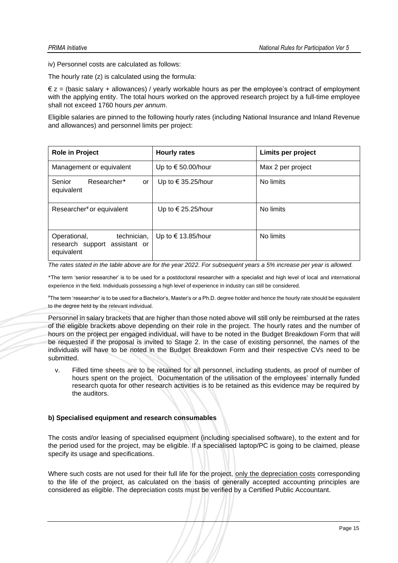iv) Personnel costs are calculated as follows:

The hourly rate (z) is calculated using the formula:

 $\epsilon$  z = (basic salary + allowances) / yearly workable hours as per the employee's contract of employment with the applying entity. The total hours worked on the approved research project by a full-time employee shall not exceed 1760 hours *per annum*.

Eligible salaries are pinned to the following hourly rates (including National Insurance and Inland Revenue and allowances) and personnel limits per project:

| <b>Role in Project</b>                                                     | <b>Hourly rates</b>         | Limits per project |  |
|----------------------------------------------------------------------------|-----------------------------|--------------------|--|
| Management or equivalent                                                   | Up to $\epsilon$ 50.00/hour | Max 2 per project  |  |
| Researcher*<br>Senior<br>or<br>equivalent                                  | Up to $\in$ 35.25/hour      | No limits          |  |
| Researcher <sup>*</sup> or equivalent                                      | Up to $\in$ 25.25/hour      | No limits          |  |
| Operational,<br>technician,<br>research support assistant or<br>equivalent | Up to $\in$ 13.85/hour      | No limits          |  |

*The rates stated in the table above are for the year 2022. For subsequent years a 5% increase per year is allowed.* 

\*The term 'senior researcher' is to be used for a postdoctoral researcher with a specialist and high level of local and international experience in the field. Individuals possessing a high level of experience in industry can still be considered.

¥The term 'researcher' is to be used for a Bachelor's, Master's or a Ph.D. degree holder and hence the hourly rate should be equivalent to the degree held by the relevant individual.

Personnel in salary brackets that are higher than those noted above will still only be reimbursed at the rates of the eligible brackets above depending on their role in the project. The hourly rates and the number of hours on the project per engaged individual, will have to be noted in the Budget Breakdown Form that will be requested if the proposal is invited to Stage 2. In the case of existing personnel, the names of the individuals will have to be noted in the Budget Breakdown Form and their respective CVs need to be submitted.

v. Filled time sheets are to be retained for all personnel, including students, as proof of number of hours spent on the project. Documentation of the utilisation of the employees' internally funded research quota for other research activities is to be retained as this evidence may be required by the auditors.

#### **b) Specialised equipment and research consumables**

The costs and/or leasing of specialised equipment (including specialised software), to the extent and for the period used for the project, may be eligible. If a specialised laptop/PC is going to be claimed, please specify its usage and specifications.

Where such costs are not used for their full life for the project, only the depreciation costs corresponding to the life of the project, as calculated on the basis of generally accepted accounting principles are considered as eligible. The depreciation costs must be verified by a Certified Public Accountant.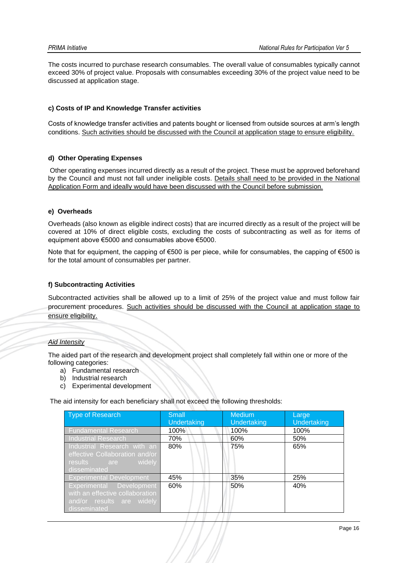The costs incurred to purchase research consumables. The overall value of consumables typically cannot exceed 30% of project value. Proposals with consumables exceeding 30% of the project value need to be discussed at application stage.

#### **c) Costs of IP and Knowledge Transfer activities**

Costs of knowledge transfer activities and patents bought or licensed from outside sources at arm's length conditions. Such activities should be discussed with the Council at application stage to ensure eligibility.

### **d) Other Operating Expenses**

Other operating expenses incurred directly as a result of the project. These must be approved beforehand by the Council and must not fall under ineligible costs. Details shall need to be provided in the National Application Form and ideally would have been discussed with the Council before submission.

### **e) Overheads**

Overheads (also known as eligible indirect costs) that are incurred directly as a result of the project will be covered at 10% of direct eligible costs, excluding the costs of subcontracting as well as for items of equipment above €5000 and consumables above €5000.

Note that for equipment, the capping of €500 is per piece, while for consumables, the capping of €500 is for the total amount of consumables per partner.

# **f) Subcontracting Activities**

Subcontracted activities shall be allowed up to a limit of 25% of the project value and must follow fair procurement procedures. Such activities should be discussed with the Council at application stage to ensure eligibility.

#### *Aid Intensity*

The aided part of the research and development project shall completely fall within one or more of the following categories:

- a) Fundamental research
- b) Industrial research
- c) Experimental development

The aid intensity for each beneficiary shall not exceed the following thresholds:

| <b>Type of Research</b>                                                                                  | <b>Small</b> | <b>Medium</b> | Large       |
|----------------------------------------------------------------------------------------------------------|--------------|---------------|-------------|
|                                                                                                          | Undertaking  | Undertaking   | Undertaking |
| <b>Fundamental Research</b>                                                                              | 100%         | 100%          | 100%        |
| <b>Industrial Research</b>                                                                               | 70%          | 60%           | 50%         |
| Industrial Research with an<br>effective Collaboration and/or<br>widely<br>results are<br>disseminated   | 80%          | 75%           | 65%         |
| <b>Experimental Development</b>                                                                          | 45%          | 35%           | 25%         |
| Experimental Development<br>with an effective collaboration<br>and/or results are widely<br>disseminated | 60%          | 50%           | 40%         |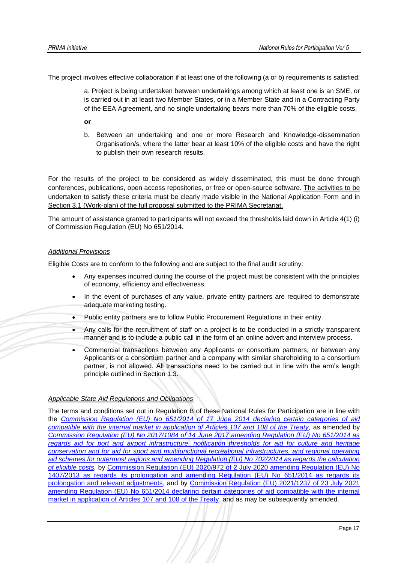The project involves effective collaboration if at least one of the following (a or b) requirements is satisfied:

a. Project is being undertaken between undertakings among which at least one is an SME, or is carried out in at least two Member States, or in a Member State and in a Contracting Party of the EEA Agreement, and no single undertaking bears more than 70% of the eligible costs,

- **or**
- b. Between an undertaking and one or more Research and Knowledge-dissemination Organisation/s, where the latter bear at least 10% of the eligible costs and have the right to publish their own research results.

For the results of the project to be considered as widely disseminated, this must be done through conferences, publications, open access repositories, or free or open-source software. The activities to be undertaken to satisfy these criteria must be clearly made visible in the National Application Form and in Section 3.1 (Work-plan) of the full proposal submitted to the PRIMA Secretariat.

The amount of assistance granted to participants will not exceed the thresholds laid down in Article 4(1) (i) of Commission Regulation (EU) No 651/2014.

#### *Additional Provisions*

Eligible Costs are to conform to the following and are subject to the final audit scrutiny:

- Any expenses incurred during the course of the project must be consistent with the principles of economy, efficiency and effectiveness.
- In the event of purchases of any value, private entity partners are required to demonstrate adequate marketing testing.
- Public entity partners are to follow Public Procurement Regulations in their entity.
- Any calls for the recruitment of staff on a project is to be conducted in a strictly transparent manner and is to include a public call in the form of an online advert and interview process.
- Commercial transactions between any Applicants or consortium partners, or between any Applicants or a consortium partner and a company with similar shareholding to a consortium partner, is not allowed. All transactions need to be carried out in line with the arm's length principle outlined in Section 1.3.

#### *Applicable State Aid Regulations and Obligations*

The terms and conditions set out in Regulation B of these National Rules for Participation are in line with the *[Commission Regulation \(EU\) No 651/2014 of 17 June 2014 declaring certain categories of aid](https://eur-lex.europa.eu/legal-content/EN/TXT/PDF/?uri=CELEX:32014R0651&from=EN)  [compatible with the internal market in application of Articles 107 and 108 of the Treaty,](https://eur-lex.europa.eu/legal-content/EN/TXT/PDF/?uri=CELEX:32014R0651&from=EN)* as amended by *[Commission Regulation \(EU\) No 2017/1084 of 14 June 2017 amending Regulation \(EU\) No 651/2014 as](https://eur-lex.europa.eu/legal-content/EN/TXT/PDF/?uri=CELEX:32017R1084&from=EN)  [regards aid for port and airport infrastructure, notification thresholds for aid for culture and heritage](https://eur-lex.europa.eu/legal-content/EN/TXT/PDF/?uri=CELEX:32017R1084&from=EN)  [conservation and for aid for sport and multifunctional recreational infrastructures, and regional operating](https://eur-lex.europa.eu/legal-content/EN/TXT/PDF/?uri=CELEX:32017R1084&from=EN)  [aid schemes for outermost regions and amending Regulation \(EU\) No 702/2014 as regards the calculation](https://eur-lex.europa.eu/legal-content/EN/TXT/PDF/?uri=CELEX:32017R1084&from=EN)  [of eligible costs,](https://eur-lex.europa.eu/legal-content/EN/TXT/PDF/?uri=CELEX:32017R1084&from=EN)* by [Commission Regulation \(EU\) 2020/972 of 2 July 2020 amending Regulation \(EU\) No](https://eur-lex.europa.eu/legal-content/EN/TXT/PDF/?uri=CELEX:32020R0972&from=EN)  [1407/2013 as regards its prolongation and amending Regulation \(EU\) No 651/2014 as regards its](https://eur-lex.europa.eu/legal-content/EN/TXT/PDF/?uri=CELEX:32020R0972&from=EN)  [prolongation and relevant adjustments,](https://eur-lex.europa.eu/legal-content/EN/TXT/PDF/?uri=CELEX:32020R0972&from=EN) and by [Commission Regulation \(EU\) 2021/1237 of 23 July 2021](https://eur-lex.europa.eu/legal-content/EN/TXT/PDF/?uri=CELEX:32021R1237&from=EN)  [amending Regulation \(EU\) No 651/2014 declaring certain categories of aid compatible with the internal](https://eur-lex.europa.eu/legal-content/EN/TXT/PDF/?uri=CELEX:32021R1237&from=EN)  [market in application of Articles 107 and 108 of the Treaty,](https://eur-lex.europa.eu/legal-content/EN/TXT/PDF/?uri=CELEX:32021R1237&from=EN) and as may be subsequently amended.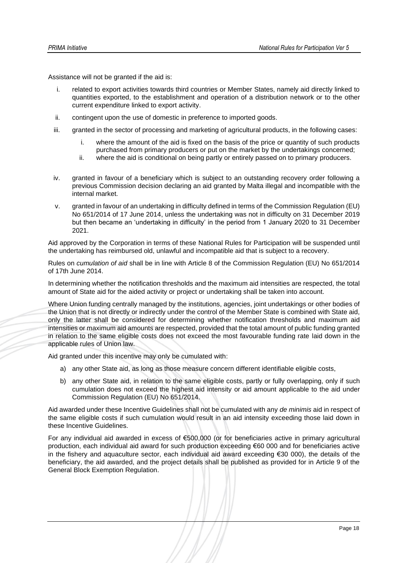Assistance will not be granted if the aid is:

- i. related to export activities towards third countries or Member States, namely aid directly linked to quantities exported, to the establishment and operation of a distribution network or to the other current expenditure linked to export activity.
- ii. contingent upon the use of domestic in preference to imported goods.
- iii. granted in the sector of processing and marketing of agricultural products, in the following cases:
	- i. where the amount of the aid is fixed on the basis of the price or quantity of such products purchased from primary producers or put on the market by the undertakings concerned;
	- ii. where the aid is conditional on being partly or entirely passed on to primary producers.
- iv. granted in favour of a beneficiary which is subject to an outstanding recovery order following a previous Commission decision declaring an aid granted by Malta illegal and incompatible with the internal market.
- v. granted in favour of an undertaking in difficulty defined in terms of the Commission Regulation (EU) No 651/2014 of 17 June 2014, unless the undertaking was not in difficulty on 31 December 2019 but then became an 'undertaking in difficulty' in the period from 1 January 2020 to 31 December 2021.

Aid approved by the Corporation in terms of these National Rules for Participation will be suspended until the undertaking has reimbursed old, unlawful and incompatible aid that is subject to a recovery.

Rules on *cumulation of aid* shall be in line with Article 8 of the Commission Regulation (EU) No 651/2014 of 17th June 2014.

In determining whether the notification thresholds and the maximum aid intensities are respected, the total amount of State aid for the aided activity or project or undertaking shall be taken into account.

Where Union funding centrally managed by the institutions, agencies, joint undertakings or other bodies of the Union that is not directly or indirectly under the control of the Member State is combined with State aid, only the latter shall be considered for determining whether notification thresholds and maximum aid intensities or maximum aid amounts are respected, provided that the total amount of public funding granted in relation to the same eligible costs does not exceed the most favourable funding rate laid down in the applicable rules of Union law.

Aid granted under this incentive may only be cumulated with:

- a) any other State aid, as long as those measure concern different identifiable eligible costs,
- b) any other State aid, in relation to the same eligible costs, partly or fully overlapping, only if such cumulation does not exceed the highest aid intensity or aid amount applicable to the aid under Commission Regulation (EU) No 651/2014.

Aid awarded under these Incentive Guidelines shall not be cumulated with any *de minimis* aid in respect of the same eligible costs if such cumulation would result in an aid intensity exceeding those laid down in these Incentive Guidelines.

For any individual aid awarded in excess of €500,000 (or for beneficiaries active in primary agricultural production, each individual aid award for such production exceeding €60 000 and for beneficiaries active in the fishery and aquaculture sector, each individual aid award exceeding €30 000), the details of the beneficiary, the aid awarded, and the project details shall be published as provided for in Article 9 of the General Block Exemption Regulation.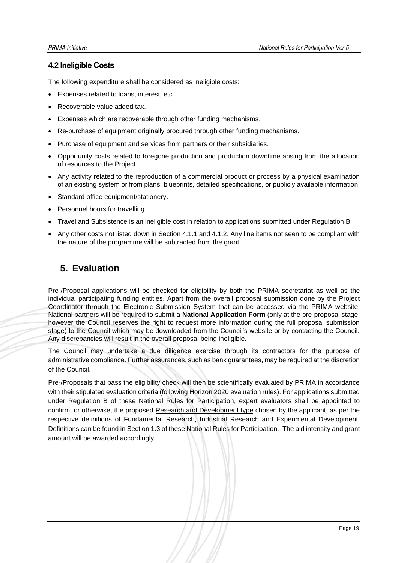# <span id="page-19-0"></span>**4.2 Ineligible Costs**

The following expenditure shall be considered as ineligible costs:

- Expenses related to loans, interest, etc.
- Recoverable value added tax.
- Expenses which are recoverable through other funding mechanisms.
- Re-purchase of equipment originally procured through other funding mechanisms.
- Purchase of equipment and services from partners or their subsidiaries.
- Opportunity costs related to foregone production and production downtime arising from the allocation of resources to the Project.
- Any activity related to the reproduction of a commercial product or process by a physical examination of an existing system or from plans, blueprints, detailed specifications, or publicly available information.
- Standard office equipment/stationery.
- Personnel hours for travelling.
- Travel and Subsistence is an ineligible cost in relation to applications submitted under Regulation B
- Any other costs not listed down in Section 4.1.1 and 4.1.2. Any line items not seen to be compliant with the nature of the programme will be subtracted from the grant.

# <span id="page-19-1"></span>**5. Evaluation**

Pre-/Proposal applications will be checked for eligibility by both the PRIMA secretariat as well as the individual participating funding entities. Apart from the overall proposal submission done by the Project Coordinator through the Electronic Submission System that can be accessed via the PRIMA website, National partners will be required to submit a **National Application Form** (only at the pre-proposal stage, however the Council reserves the right to request more information during the full proposal submission stage) to the Council which may be downloaded from the Council's website or by contacting the Council. Any discrepancies will result in the overall proposal being ineligible.

The Council may undertake a due diligence exercise through its contractors for the purpose of administrative compliance. Further assurances, such as bank guarantees, may be required at the discretion of the Council.

Pre-/Proposals that pass the eligibility check will then be scientifically evaluated by PRIMA in accordance with their stipulated evaluation criteria (following Horizon 2020 evaluation rules). For applications submitted under Regulation B of these National Rules for Participation, expert evaluators shall be appointed to confirm, or otherwise, the proposed Research and Development type chosen by the applicant, as per the respective definitions of Fundamental Research, Industrial Research and Experimental Development. Definitions can be found in Section 1.3 of these National Rules for Participation. The aid intensity and grant amount will be awarded accordingly.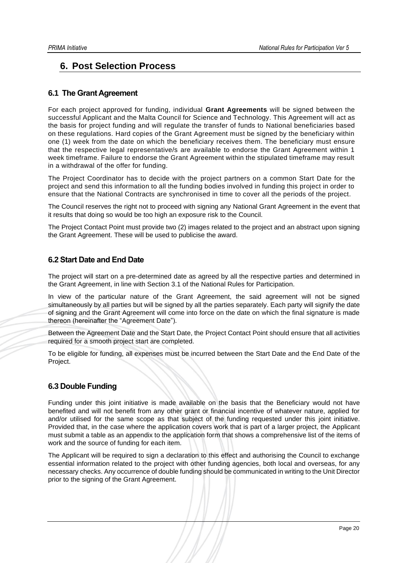# <span id="page-20-0"></span>**6. Post Selection Process**

# <span id="page-20-1"></span>**6.1 The Grant Agreement**

For each project approved for funding, individual **Grant Agreements** will be signed between the successful Applicant and the Malta Council for Science and Technology. This Agreement will act as the basis for project funding and will regulate the transfer of funds to National beneficiaries based on these regulations. Hard copies of the Grant Agreement must be signed by the beneficiary within one (1) week from the date on which the beneficiary receives them. The beneficiary must ensure that the respective legal representative/s are available to endorse the Grant Agreement within 1 week timeframe. Failure to endorse the Grant Agreement within the stipulated timeframe may result in a withdrawal of the offer for funding.

The Project Coordinator has to decide with the project partners on a common Start Date for the project and send this information to all the funding bodies involved in funding this project in order to ensure that the National Contracts are synchronised in time to cover all the periods of the project.

The Council reserves the right not to proceed with signing any National Grant Agreement in the event that it results that doing so would be too high an exposure risk to the Council.

The Project Contact Point must provide two (2) images related to the project and an abstract upon signing the Grant Agreement. These will be used to publicise the award.

# <span id="page-20-2"></span>**6.2 Start Date and End Date**

The project will start on a pre-determined date as agreed by all the respective parties and determined in the Grant Agreement, in line with Section 3.1 of the National Rules for Participation.

In view of the particular nature of the Grant Agreement, the said agreement will not be signed simultaneously by all parties but will be signed by all the parties separately. Each party will signify the date of signing and the Grant Agreement will come into force on the date on which the final signature is made thereon (hereinafter the "Agreement Date").

Between the Agreement Date and the Start Date, the Project Contact Point should ensure that all activities required for a smooth project start are completed.

To be eligible for funding, all expenses must be incurred between the Start Date and the End Date of the Project.

# <span id="page-20-3"></span>**6.3 Double Funding**

Funding under this joint initiative is made available on the basis that the Beneficiary would not have benefited and will not benefit from any other grant or financial incentive of whatever nature, applied for and/or utilised for the same scope as that subject of the funding requested under this joint initiative. Provided that, in the case where the application covers work that is part of a larger project, the Applicant must submit a table as an appendix to the application form that shows a comprehensive list of the items of work and the source of funding for each item.

The Applicant will be required to sign a declaration to this effect and authorising the Council to exchange essential information related to the project with other funding agencies, both local and overseas, for any necessary checks. Any occurrence of double funding should be communicated in writing to the Unit Director prior to the signing of the Grant Agreement.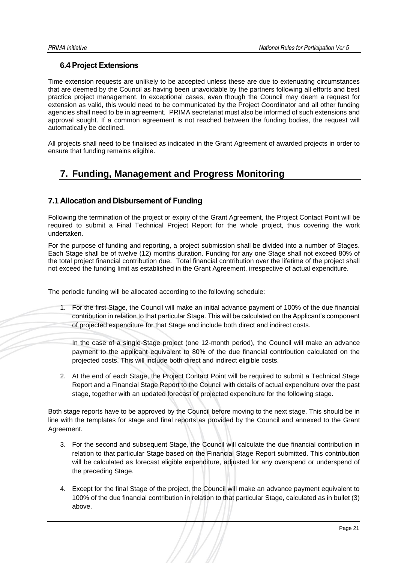# **6.4 Project Extensions**

Time extension requests are unlikely to be accepted unless these are due to extenuating circumstances that are deemed by the Council as having been unavoidable by the partners following all efforts and best practice project management. In exceptional cases, even though the Council may deem a request for extension as valid, this would need to be communicated by the Project Coordinator and all other funding agencies shall need to be in agreement. PRIMA secretariat must also be informed of such extensions and approval sought. If a common agreement is not reached between the funding bodies, the request will automatically be declined.

All projects shall need to be finalised as indicated in the Grant Agreement of awarded projects in order to ensure that funding remains eligible.

# <span id="page-21-0"></span>**7. Funding, Management and Progress Monitoring**

# <span id="page-21-1"></span>**7.1 Allocation and Disbursement of Funding**

Following the termination of the project or expiry of the Grant Agreement, the Project Contact Point will be required to submit a Final Technical Project Report for the whole project, thus covering the work undertaken.

For the purpose of funding and reporting, a project submission shall be divided into a number of Stages. Each Stage shall be of twelve (12) months duration. Funding for any one Stage shall not exceed 80% of the total project financial contribution due. Total financial contribution over the lifetime of the project shall not exceed the funding limit as established in the Grant Agreement, irrespective of actual expenditure.

The periodic funding will be allocated according to the following schedule:

1. For the first Stage, the Council will make an initial advance payment of 100% of the due financial contribution in relation to that particular Stage. This will be calculated on the Applicant's component of projected expenditure for that Stage and include both direct and indirect costs.

In the case of a single-Stage project (one 12-month period), the Council will make an advance payment to the applicant equivalent to 80% of the due financial contribution calculated on the projected costs. This will include both direct and indirect eligible costs.

2. At the end of each Stage, the Project Contact Point will be required to submit a Technical Stage Report and a Financial Stage Report to the Council with details of actual expenditure over the past stage, together with an updated forecast of projected expenditure for the following stage.

Both stage reports have to be approved by the Council before moving to the next stage. This should be in line with the templates for stage and final reports as provided by the Council and annexed to the Grant Agreement.

- 3. For the second and subsequent Stage, the Council will calculate the due financial contribution in relation to that particular Stage based on the Financial Stage Report submitted. This contribution will be calculated as forecast eligible expenditure, adjusted for any overspend or underspend of the preceding Stage.
- 4. Except for the final Stage of the project, the Council will make an advance payment equivalent to 100% of the due financial contribution in relation to that particular Stage, calculated as in bullet (3) above.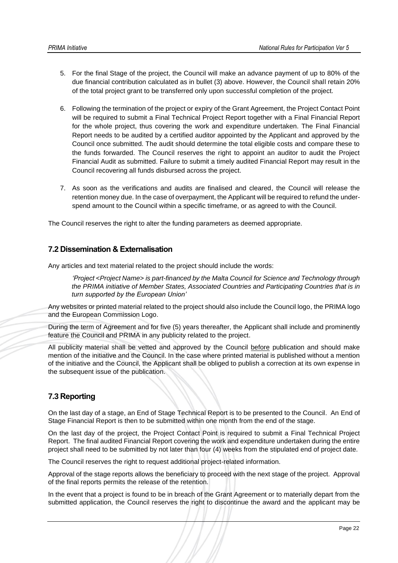- 5. For the final Stage of the project, the Council will make an advance payment of up to 80% of the due financial contribution calculated as in bullet (3) above. However, the Council shall retain 20% of the total project grant to be transferred only upon successful completion of the project.
- 6. Following the termination of the project or expiry of the Grant Agreement, the Project Contact Point will be required to submit a Final Technical Project Report together with a Final Financial Report for the whole project, thus covering the work and expenditure undertaken. The Final Financial Report needs to be audited by a certified auditor appointed by the Applicant and approved by the Council once submitted. The audit should determine the total eligible costs and compare these to the funds forwarded. The Council reserves the right to appoint an auditor to audit the Project Financial Audit as submitted. Failure to submit a timely audited Financial Report may result in the Council recovering all funds disbursed across the project.
- 7. As soon as the verifications and audits are finalised and cleared, the Council will release the retention money due. In the case of overpayment, the Applicant will be required to refund the underspend amount to the Council within a specific timeframe, or as agreed to with the Council.

The Council reserves the right to alter the funding parameters as deemed appropriate.

# <span id="page-22-0"></span>**7.2 Dissemination & Externalisation**

Any articles and text material related to the project should include the words:

*'Project <Project Name> is part-financed by the Malta Council for Science and Technology through the PRIMA initiative of Member States, Associated Countries and Participating Countries that is in turn supported by the European Union'*

Any websites or printed material related to the project should also include the Council logo, the PRIMA logo and the European Commission Logo.

During the term of Agreement and for five (5) years thereafter, the Applicant shall include and prominently feature the Council and PRIMA in any publicity related to the project.

All publicity material shall be vetted and approved by the Council before publication and should make mention of the initiative and the Council. In the case where printed material is published without a mention of the initiative and the Council, the Applicant shall be obliged to publish a correction at its own expense in the subsequent issue of the publication.

# <span id="page-22-1"></span>**7.3 Reporting**

On the last day of a stage, an End of Stage Technical Report is to be presented to the Council. An End of Stage Financial Report is then to be submitted within one month from the end of the stage.

On the last day of the project, the Project Contact Point is required to submit a Final Technical Project Report. The final audited Financial Report covering the work and expenditure undertaken during the entire project shall need to be submitted by not later than four (4) weeks from the stipulated end of project date.

The Council reserves the right to request additional project-related information.

Approval of the stage reports allows the beneficiary to proceed with the next stage of the project. Approval of the final reports permits the release of the retention.

In the event that a project is found to be in breach of the Grant Agreement or to materially depart from the submitted application, the Council reserves the right to discontinue the award and the applicant may be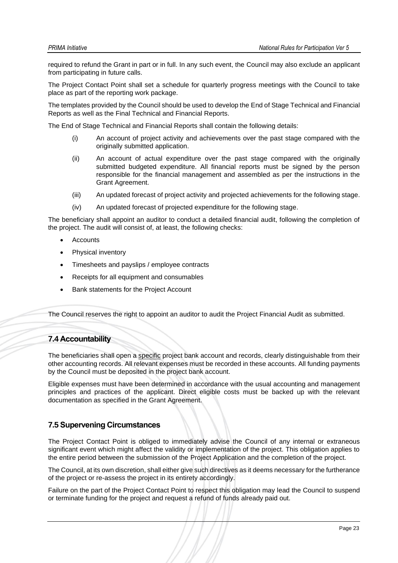required to refund the Grant in part or in full. In any such event, the Council may also exclude an applicant from participating in future calls.

The Project Contact Point shall set a schedule for quarterly progress meetings with the Council to take place as part of the reporting work package.

The templates provided by the Council should be used to develop the End of Stage Technical and Financial Reports as well as the Final Technical and Financial Reports.

The End of Stage Technical and Financial Reports shall contain the following details:

- (i) An account of project activity and achievements over the past stage compared with the originally submitted application.
- (ii) An account of actual expenditure over the past stage compared with the originally submitted budgeted expenditure. All financial reports must be signed by the person responsible for the financial management and assembled as per the instructions in the Grant Agreement.
- (iii) An updated forecast of project activity and projected achievements for the following stage.
- (iv) An updated forecast of projected expenditure for the following stage.

The beneficiary shall appoint an auditor to conduct a detailed financial audit, following the completion of the project. The audit will consist of, at least, the following checks:

- **Accounts**
- Physical inventory
- Timesheets and payslips / employee contracts
- Receipts for all equipment and consumables
- Bank statements for the Project Account

<span id="page-23-0"></span>The Council reserves the right to appoint an auditor to audit the Project Financial Audit as submitted.

#### **7.4 Accountability**

The beneficiaries shall open a specific project bank account and records, clearly distinguishable from their other accounting records. All relevant expenses must be recorded in these accounts. All funding payments by the Council must be deposited in the project bank account.

Eligible expenses must have been determined in accordance with the usual accounting and management principles and practices of the applicant. Direct eligible costs must be backed up with the relevant documentation as specified in the Grant Agreement.

#### <span id="page-23-1"></span>**7.5 Supervening Circumstances**

The Project Contact Point is obliged to immediately advise the Council of any internal or extraneous significant event which might affect the validity or implementation of the project. This obligation applies to the entire period between the submission of the Project Application and the completion of the project.

The Council, at its own discretion, shall either give such directives as it deems necessary for the furtherance of the project or re-assess the project in its entirety accordingly.

Failure on the part of the Project Contact Point to respect this obligation may lead the Council to suspend or terminate funding for the project and request a refund of funds already paid out.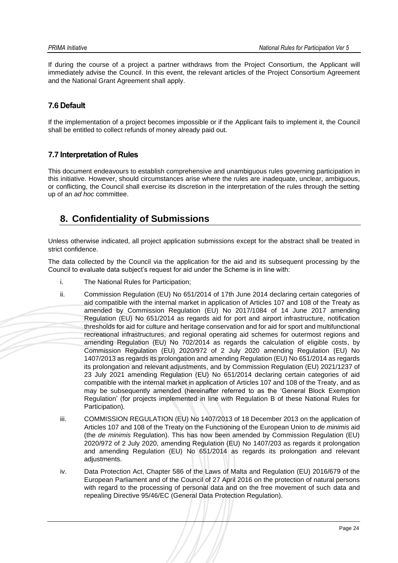If during the course of a project a partner withdraws from the Project Consortium, the Applicant will immediately advise the Council. In this event, the relevant articles of the Project Consortium Agreement and the National Grant Agreement shall apply.

# <span id="page-24-0"></span>**7.6 Default**

If the implementation of a project becomes impossible or if the Applicant fails to implement it, the Council shall be entitled to collect refunds of money already paid out.

# <span id="page-24-1"></span>**7.7 Interpretation of Rules**

This document endeavours to establish comprehensive and unambiguous rules governing participation in this initiative. However, should circumstances arise where the rules are inadequate, unclear, ambiguous, or conflicting, the Council shall exercise its discretion in the interpretation of the rules through the setting up of an *ad hoc* committee.

# <span id="page-24-2"></span>**8. Confidentiality of Submissions**

Unless otherwise indicated, all project application submissions except for the abstract shall be treated in strict confidence.

The data collected by the Council via the application for the aid and its subsequent processing by the Council to evaluate data subject's request for aid under the Scheme is in line with:

- i. The National Rules for Participation;
- ii. Commission Regulation (EU) No 651/2014 of 17th June 2014 declaring certain categories of aid compatible with the internal market in application of Articles 107 and 108 of the Treaty as amended by Commission Regulation (EU) No 2017/1084 of 14 June 2017 amending Regulation (EU) No 651/2014 as regards aid for port and airport infrastructure, notification thresholds for aid for culture and heritage conservation and for aid for sport and multifunctional recreational infrastructures, and regional operating aid schemes for outermost regions and amending Regulation (EU) No 702/2014 as regards the calculation of eligible costs, by Commission Regulation (EU) 2020/972 of 2 July 2020 amending Regulation (EU) No 1407/2013 as regards its prolongation and amending Regulation (EU) No 651/2014 as regards its prolongation and relevant adjustments, and by Commission Regulation (EU) 2021/1237 of 23 July 2021 amending Regulation (EU) No 651/2014 declaring certain categories of aid compatible with the internal market in application of Articles 107 and 108 of the Treaty, and as may be subsequently amended (hereinafter referred to as the 'General Block Exemption Regulation' (for projects implemented in line with Regulation B of these National Rules for Participation)*.*
- iii. COMMISSION REGULATION (EU) No 1407/2013 of 18 December 2013 on the application of Articles 107 and 108 of the Treaty on the Functioning of the European Union to *de minimis* aid (the *de minimis* Regulation). This has now been amended by Commission Regulation (EU) 2020/972 of 2 July 2020, amending Regulation (EU) No 1407/203 as regards it prolongation and amending Regulation (EU) No 651/2014 as regards its prolongation and relevant adjustments.
- iv. Data Protection Act, Chapter 586 of the Laws of Malta and Regulation (EU) 2016/679 of the European Parliament and of the Council of 27 April 2016 on the protection of natural persons with regard to the processing of personal data and on the free movement of such data and repealing Directive 95/46/EC (General Data Protection Regulation).